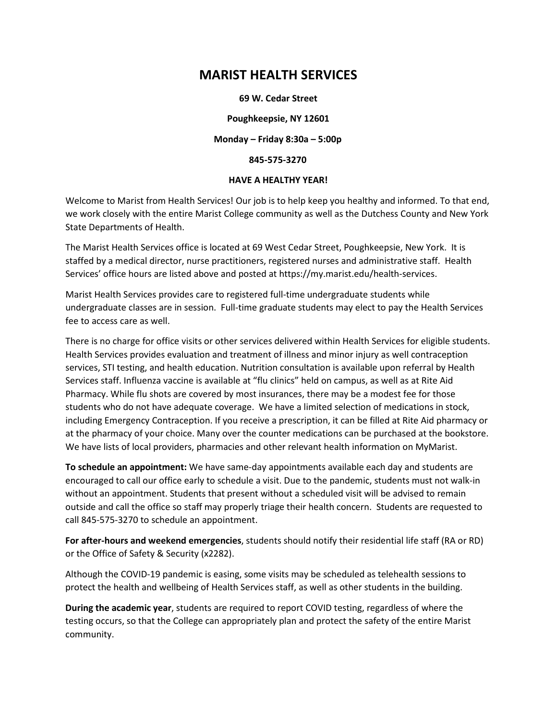# **MARIST HEALTH SERVICES**

#### **69 W. Cedar Street**

**Poughkeepsie, NY 12601**

**Monday – Friday 8:30a – 5:00p** 

**845‐575‐3270**

#### **HAVE A HEALTHY YEAR!**

Welcome to Marist from Health Services! Our job is to help keep you healthy and informed. To that end, we work closely with the entire Marist College community as well as the Dutchess County and New York State Departments of Health.

The Marist Health Services office is located at 69 West Cedar Street, Poughkeepsie, New York. It is staffed by a medical director, nurse practitioners, registered nurses and administrative staff. Health Services' office hours are listed above and posted at https://my.marist.edu/health-services.

Marist Health Services provides care to registered full-time undergraduate students while undergraduate classes are in session. Full-time graduate students may elect to pay the Health Services fee to access care as well.

There is no charge for office visits or other services delivered within Health Services for eligible students. Health Services provides evaluation and treatment of illness and minor injury as well contraception services, STI testing, and health education. Nutrition consultation is available upon referral by Health Services staff. Influenza vaccine is available at "flu clinics" held on campus, as well as at Rite Aid Pharmacy. While flu shots are covered by most insurances, there may be a modest fee for those students who do not have adequate coverage. We have a limited selection of medications in stock, including Emergency Contraception. If you receive a prescription, it can be filled at Rite Aid pharmacy or at the pharmacy of your choice. Many over the counter medications can be purchased at the bookstore. We have lists of local providers, pharmacies and other relevant health information on MyMarist.

**To schedule an appointment:** We have same-day appointments available each day and students are encouraged to call our office early to schedule a visit. Due to the pandemic, students must not walk-in without an appointment. Students that present without a scheduled visit will be advised to remain outside and call the office so staff may properly triage their health concern. Students are requested to call 845-575-3270 to schedule an appointment.

**For after‐hours and weekend emergencies**, students should notify their residential life staff (RA or RD) or the Office of Safety & Security (x2282).

Although the COVID-19 pandemic is easing, some visits may be scheduled as telehealth sessions to protect the health and wellbeing of Health Services staff, as well as other students in the building.

**During the academic year**, students are required to report COVID testing, regardless of where the testing occurs, so that the College can appropriately plan and protect the safety of the entire Marist community.